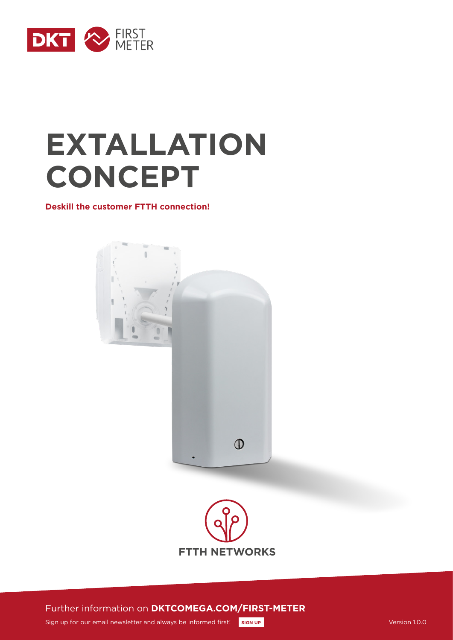

# **EXTALLATION CONCEPT**

**Deskill the customer FTTH connection!**





Further information on **DKTCOMEGA.COM/FIRST-METER**

Sign up for our email newsletter and always be informed first! **[SIGN UP](http://www.dktcomega.com/#newsletter) Version 1.0.0** Version 1.0.0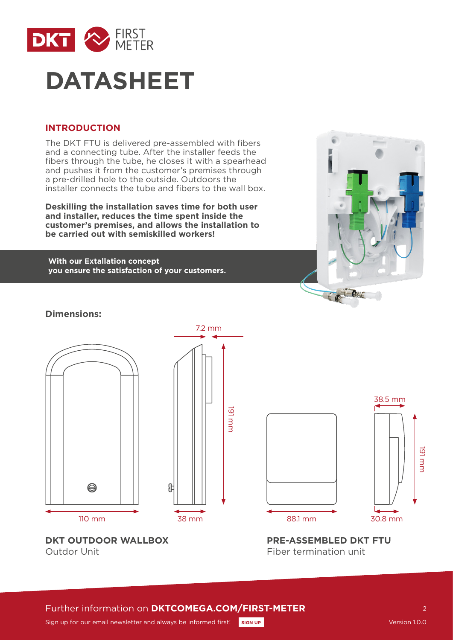

# **DATASHEET**

## **INTRODUCTION**

The DKT FTU is delivered pre-assembled with fibers and a connecting tube. After the installer feeds the fibers through the tube, he closes it with a spearhead and pushes it from the customer's premises through a pre-drilled hole to the outside. Outdoors the installer connects the tube and fibers to the wall box.

**Deskilling the installation saves time for both user and installer, reduces the time spent inside the customer's premises, and allows the installation to be carried out with semiskilled workers!**

**With our Extallation concept you ensure the satisfaction of your customers.**



# **Dimensions:**







**DKT OUTDOOR WALLBOX** Outdor Unit

**PRE-ASSEMBLED DKT FTU** Fiber termination unit

# Further information on **DKTCOMEGA.COM/FIRST-METER**

 $\mathcal{L}$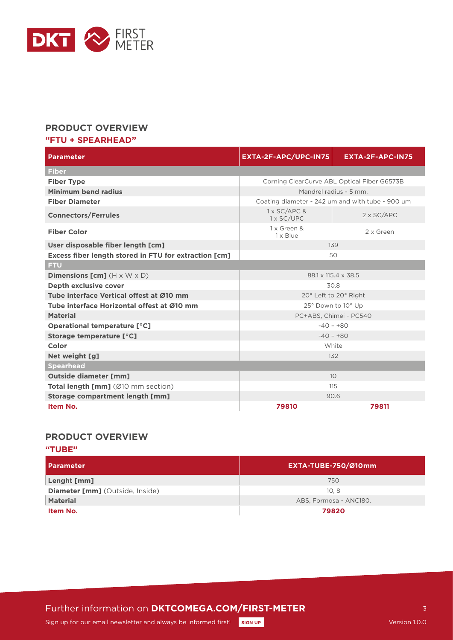

### **PRODUCT OVERVIEW**

#### **"FTU + SPEARHEAD"**

| <b>Parameter</b>                                      | EXTA-2F-APC/UPC-IN75                             | EXTA-2F-APC-IN75  |  |  |
|-------------------------------------------------------|--------------------------------------------------|-------------------|--|--|
| <b>Fiber</b>                                          |                                                  |                   |  |  |
| <b>Fiber Type</b>                                     | Corning ClearCurve ABL Optical Fiber G6573B      |                   |  |  |
| Minimum bend radius                                   | Mandrel radius - 5 mm.                           |                   |  |  |
| <b>Fiber Diameter</b>                                 | Coating diameter - 242 um and with tube - 900 um |                   |  |  |
| <b>Connectors/Ferrules</b>                            | 1 x SC/APC &<br>1 x SC/UPC                       | $2 \times SC/APC$ |  |  |
| <b>Fiber Color</b>                                    | 1 x Green &<br>$1 \times$ Blue                   | 2 x Green         |  |  |
| User disposable fiber length [cm]                     | 139                                              |                   |  |  |
| Excess fiber length stored in FTU for extraction [cm] | 50                                               |                   |  |  |
| <b>FTU</b>                                            |                                                  |                   |  |  |
| <b>Dimensions [cm]</b> $(H \times W \times D)$        | 88.1 x 115.4 x 38.5                              |                   |  |  |
| Depth exclusive cover                                 | 30.8                                             |                   |  |  |
| Tube interface Vertical offest at Ø10 mm              | 20° Left to 20° Right                            |                   |  |  |
| Tube interface Horizontal offest at Ø10 mm            | 25° Down to 10° Up                               |                   |  |  |
| <b>Material</b>                                       | PC+ABS, Chimei - PC540                           |                   |  |  |
| Operational temperature [°C]                          | $-40 - +80$                                      |                   |  |  |
| Storage temperature [°C]                              | $-40 - +80$                                      |                   |  |  |
| Color                                                 | White                                            |                   |  |  |
| Net weight [g]                                        | 132                                              |                   |  |  |
| <b>Spearhead</b>                                      |                                                  |                   |  |  |
| <b>Outside diameter [mm]</b>                          | 10 <sup>°</sup>                                  |                   |  |  |
| <b>Total length [mm]</b> (Ø10 mm section)             | 115                                              |                   |  |  |
| Storage compartment length [mm]                       | 90.6                                             |                   |  |  |
| Item No.                                              | 79810                                            | 79811             |  |  |

### **PRODUCT OVERVIEW**

#### **"TUBE"**

| l Parameter                            | EXTA-TUBE-750/Ø10mm    |
|----------------------------------------|------------------------|
| Lenght [mm]                            | 750                    |
| <b>Diameter [mm]</b> (Outside, Inside) | 10.8                   |
| <b>Material</b>                        | ABS, Formosa - ANC180. |
| Item No.                               | 79820                  |

Further information on **DKTCOMEGA.COM/FIRST-METER**

3